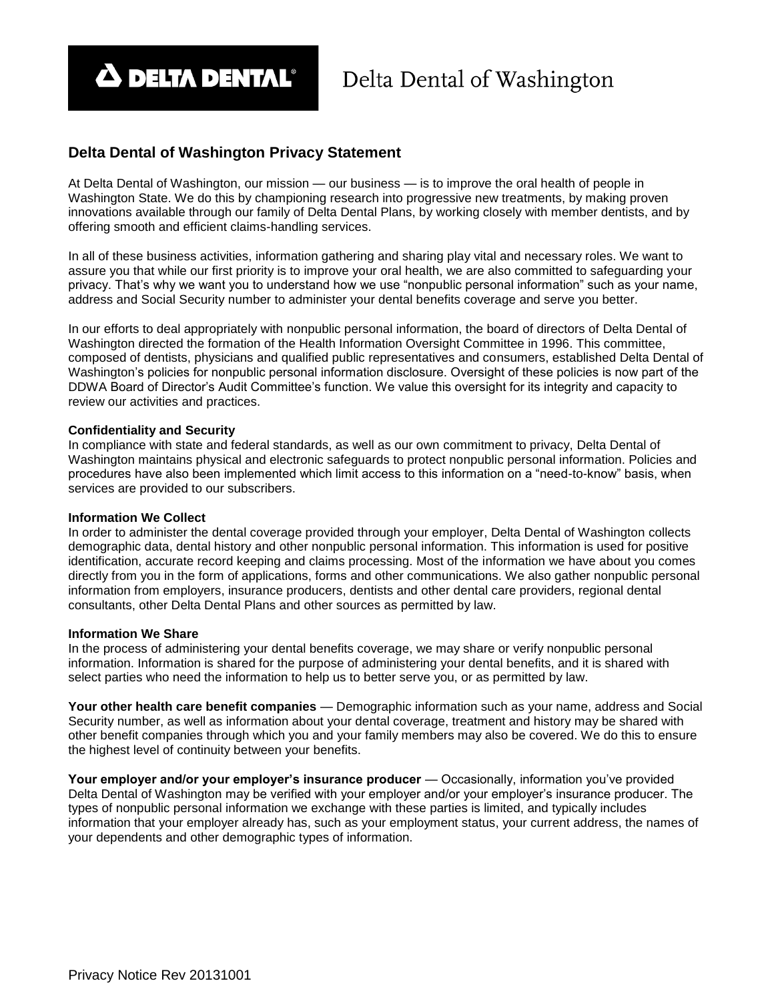**A DELTA DENTAL®** 

## **Delta Dental of Washington Privacy Statement**

At Delta Dental of Washington, our mission — our business — is to improve the oral health of people in Washington State. We do this by championing research into progressive new treatments, by making proven innovations available through our family of Delta Dental Plans, by working closely with member dentists, and by offering smooth and efficient claims-handling services.

In all of these business activities, information gathering and sharing play vital and necessary roles. We want to assure you that while our first priority is to improve your oral health, we are also committed to safeguarding your privacy. That's why we want you to understand how we use "nonpublic personal information" such as your name, address and Social Security number to administer your dental benefits coverage and serve you better.

In our efforts to deal appropriately with nonpublic personal information, the board of directors of Delta Dental of Washington directed the formation of the Health Information Oversight Committee in 1996. This committee, composed of dentists, physicians and qualified public representatives and consumers, established Delta Dental of Washington's policies for nonpublic personal information disclosure. Oversight of these policies is now part of the DDWA Board of Director's Audit Committee's function. We value this oversight for its integrity and capacity to review our activities and practices.

### **Confidentiality and Security**

In compliance with state and federal standards, as well as our own commitment to privacy, Delta Dental of Washington maintains physical and electronic safeguards to protect nonpublic personal information. Policies and procedures have also been implemented which limit access to this information on a "need-to-know" basis, when services are provided to our subscribers.

### **Information We Collect**

In order to administer the dental coverage provided through your employer, Delta Dental of Washington collects demographic data, dental history and other nonpublic personal information. This information is used for positive identification, accurate record keeping and claims processing. Most of the information we have about you comes directly from you in the form of applications, forms and other communications. We also gather nonpublic personal information from employers, insurance producers, dentists and other dental care providers, regional dental consultants, other Delta Dental Plans and other sources as permitted by law.

### **Information We Share**

In the process of administering your dental benefits coverage, we may share or verify nonpublic personal information. Information is shared for the purpose of administering your dental benefits, and it is shared with select parties who need the information to help us to better serve you, or as permitted by law.

**Your other health care benefit companies** — Demographic information such as your name, address and Social Security number, as well as information about your dental coverage, treatment and history may be shared with other benefit companies through which you and your family members may also be covered. We do this to ensure the highest level of continuity between your benefits.

**Your employer and/or your employer's insurance producer** — Occasionally, information you've provided Delta Dental of Washington may be verified with your employer and/or your employer's insurance producer. The types of nonpublic personal information we exchange with these parties is limited, and typically includes information that your employer already has, such as your employment status, your current address, the names of your dependents and other demographic types of information.